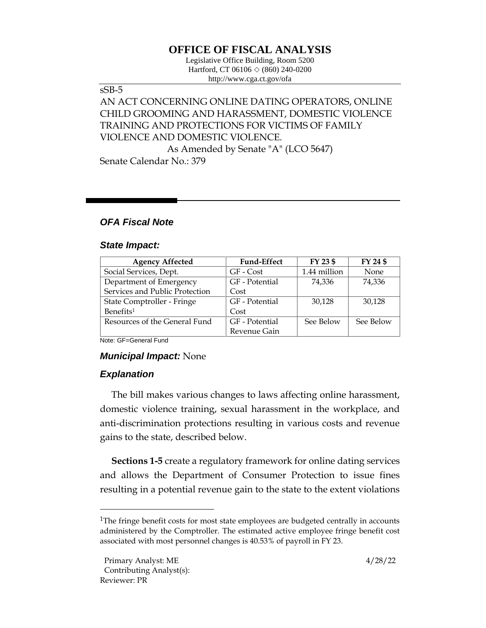# **OFFICE OF FISCAL ANALYSIS**

Legislative Office Building, Room 5200 Hartford, CT 06106  $\Diamond$  (860) 240-0200 http://www.cga.ct.gov/ofa

#### sSB-5

## AN ACT CONCERNING ONLINE DATING OPERATORS, ONLINE CHILD GROOMING AND HARASSMENT, DOMESTIC VIOLENCE TRAINING AND PROTECTIONS FOR VICTIMS OF FAMILY VIOLENCE AND DOMESTIC VIOLENCE.

As Amended by Senate "A" (LCO 5647) Senate Calendar No.: 379

### *OFA Fiscal Note*

#### *State Impact:*

| <b>Agency Affected</b>         | <b>Fund-Effect</b> | FY 23 \$     | FY 24 \$    |
|--------------------------------|--------------------|--------------|-------------|
| Social Services, Dept.         | GF - Cost          | 1.44 million | <b>None</b> |
| Department of Emergency        | GF - Potential     | 74.336       | 74,336      |
| Services and Public Protection | Cost               |              |             |
| State Comptroller - Fringe     | GF - Potential     | 30,128       | 30,128      |
| Benefits <sup>1</sup>          | Cost               |              |             |
| Resources of the General Fund  | GF - Potential     | See Below    | See Below   |
|                                | Revenue Gain       |              |             |

Note: GF=General Fund

#### *Municipal Impact:* None

#### *Explanation*

The bill makes various changes to laws affecting online harassment, domestic violence training, sexual harassment in the workplace, and anti-discrimination protections resulting in various costs and revenue gains to the state, described below.

**Sections 1-5** create a regulatory framework for online dating services and allows the Department of Consumer Protection to issue fines resulting in a potential revenue gain to the state to the extent violations

<sup>&</sup>lt;sup>1</sup>The fringe benefit costs for most state employees are budgeted centrally in accounts administered by the Comptroller. The estimated active employee fringe benefit cost associated with most personnel changes is 40.53% of payroll in FY 23.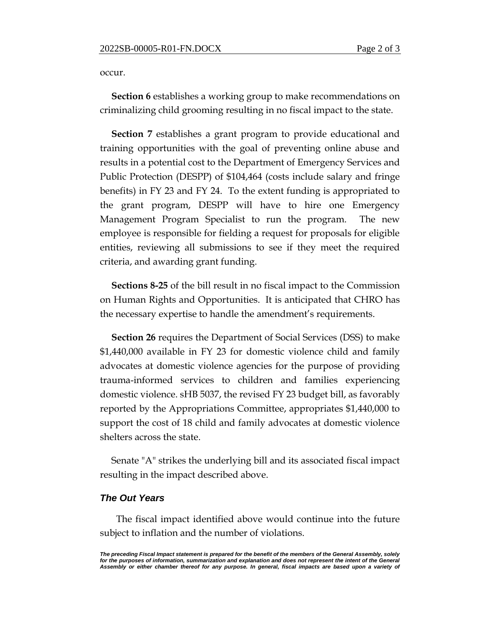occur.

**Section 6** establishes a working group to make recommendations on criminalizing child grooming resulting in no fiscal impact to the state.

**Section 7** establishes a grant program to provide educational and training opportunities with the goal of preventing online abuse and results in a potential cost to the Department of Emergency Services and Public Protection (DESPP) of \$104,464 (costs include salary and fringe benefits) in FY 23 and FY 24. To the extent funding is appropriated to the grant program, DESPP will have to hire one Emergency Management Program Specialist to run the program. The new employee is responsible for fielding a request for proposals for eligible entities, reviewing all submissions to see if they meet the required criteria, and awarding grant funding.

**Sections 8-25** of the bill result in no fiscal impact to the Commission on Human Rights and Opportunities. It is anticipated that CHRO has the necessary expertise to handle the amendment's requirements.

**Section 26** requires the Department of Social Services (DSS) to make \$1,440,000 available in FY 23 for domestic violence child and family advocates at domestic violence agencies for the purpose of providing trauma-informed services to children and families experiencing domestic violence. sHB 5037, the revised FY 23 budget bill, as favorably reported by the Appropriations Committee, appropriates \$1,440,000 to support the cost of 18 child and family advocates at domestic violence shelters across the state.

Senate "A" strikes the underlying bill and its associated fiscal impact resulting in the impact described above.

#### *The Out Years*

 The fiscal impact identified above would continue into the future subject to inflation and the number of violations.

*The preceding Fiscal Impact statement is prepared for the benefit of the members of the General Assembly, solely*  for the purposes of information, summarization and explanation and does not represent the intent of the General *Assembly or either chamber thereof for any purpose. In general, fiscal impacts are based upon a variety of*